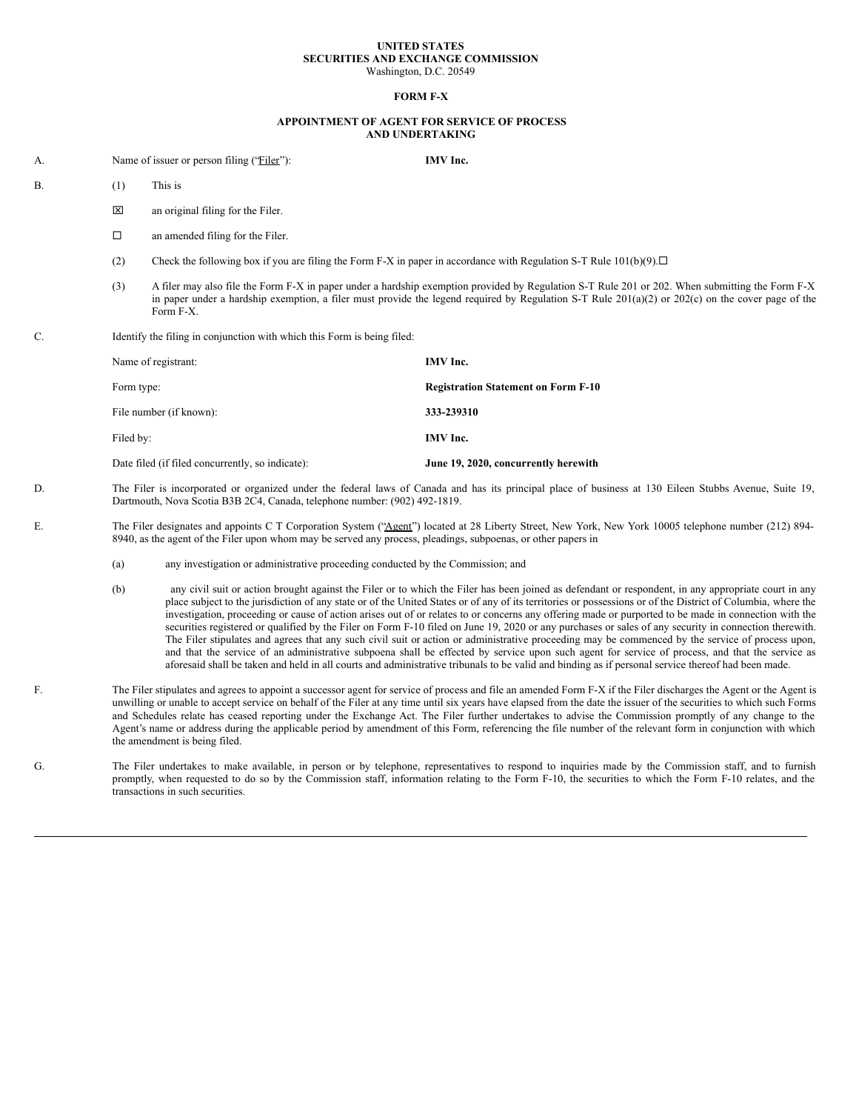## **UNITED STATES SECURITIES AND EXCHANGE COMMISSION** Washington, D.C. 20549

## **FORM F-X**

## **APPOINTMENT OF AGENT FOR SERVICE OF PROCESS AND UNDERTAKING**

- A. Name of issuer or person filing ("Filer"): **IMV Inc.**
- B. (1) This is
	- **x** an original filing for the Filer.
	- $\Box$  an amended filing for the Filer.
	- (2) Check the following box if you are filing the Form F-X in paper in accordance with Regulation S-T Rule 101(b)(9). $\Box$
	- (3) A filer may also file the Form F-X in paper under a hardship exemption provided by Regulation S-T Rule 201 or 202. When submitting the Form F-X in paper under a hardship exemption, a filer must provide the legend required by Regulation S-T Rule 201(a)(2) or 202(c) on the cover page of the Form F-X.
- C. Identify the filing in conjunction with which this Form is being filed:

| Name of registrant:                              | IMV Inc.                                   |
|--------------------------------------------------|--------------------------------------------|
| Form type:                                       | <b>Registration Statement on Form F-10</b> |
| File number (if known):                          | 333-239310                                 |
| Filed by:                                        | IMV Inc.                                   |
| Date filed (if filed concurrently, so indicate): | June 19, 2020, concurrently herewith       |

- D. The Filer is incorporated or organized under the federal laws of Canada and has its principal place of business at 130 Eileen Stubbs Avenue, Suite 19, Dartmouth, Nova Scotia B3B 2C4, Canada, telephone number: (902) 492-1819.
- E. The Filer designates and appoints C T Corporation System ("Agent") located at 28 Liberty Street, New York, New York 10005 telephone number (212) 894-8940, as the agent of the Filer upon whom may be served any process, pleadings, subpoenas, or other papers in
	- (a) any investigation or administrative proceeding conducted by the Commission; and
	- (b) any civil suit or action brought against the Filer or to which the Filer has been joined as defendant or respondent, in any appropriate court in any place subject to the jurisdiction of any state or of the United States or of any of its territories or possessions or of the District of Columbia, where the investigation, proceeding or cause of action arises out of or relates to or concerns any offering made or purported to be made in connection with the securities registered or qualified by the Filer on Form F-10 filed on June 19, 2020 or any purchases or sales of any security in connection therewith. The Filer stipulates and agrees that any such civil suit or action or administrative proceeding may be commenced by the service of process upon, and that the service of an administrative subpoena shall be effected by service upon such agent for service of process, and that the service as aforesaid shall be taken and held in all courts and administrative tribunals to be valid and binding as if personal service thereof had been made.
- F. The Filer stipulates and agrees to appoint a successor agent for service of process and file an amended Form F-X if the Filer discharges the Agent or the Agent is unwilling or unable to accept service on behalf of the Filer at any time until six years have elapsed from the date the issuer of the securities to which such Forms and Schedules relate has ceased reporting under the Exchange Act. The Filer further undertakes to advise the Commission promptly of any change to the Agent's name or address during the applicable period by amendment of this Form, referencing the file number of the relevant form in conjunction with which the amendment is being filed.
- G. The Filer undertakes to make available, in person or by telephone, representatives to respond to inquiries made by the Commission staff, and to furnish promptly, when requested to do so by the Commission staff, information relating to the Form F-10, the securities to which the Form F-10 relates, and the transactions in such securities.